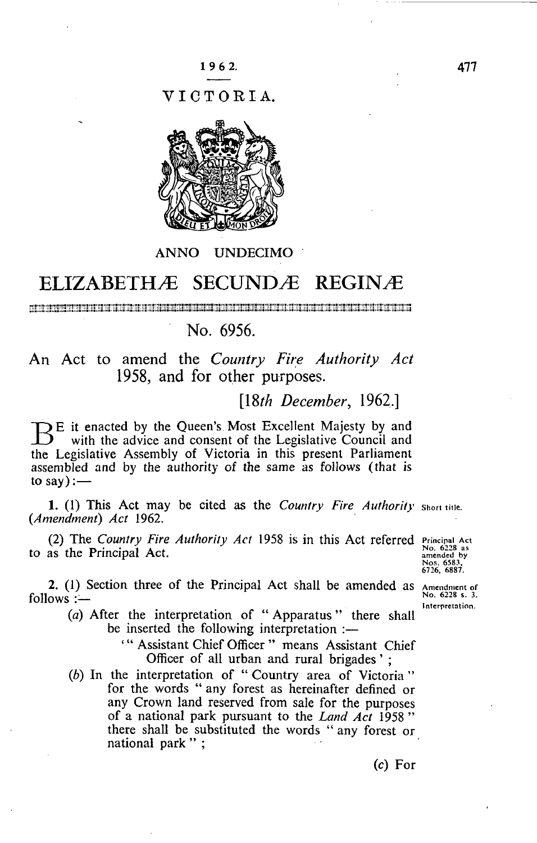VICTORIA.



## ANNO UNDECIMO

## ELIZABETHÆ SECUNDÆ REGINÆ

a di persenta di partit dan dalam sebagai dan sebagai sebagai dan sebagai dan sebagai dan sebagai sebagai dan

## No. 6956.

An Act to amend the *Country Fire Authority Act*  1958, and for other purposes.

[18th December, 1962.]

**E** it enacted by the Queen's Most Excellent Majesty by and with the advice and consent of the Legislative Council and the Legislative Council and with the advice and consent of the Legislative Council and the Legislative Assembly of Victoria in this present Parliament assembled and by the authority of the same as follows (that is to say): $-$ 

1. (1) This Act may be cited as the *Country Fire Authority* shon tine. *(Amendment) Act* 1962.

(2) The *Country Fire Authority Act* 1958 is in this Act referred Principal Act to as the Principal Act.

Nos. 6583.<br>6726, 6887.

2. (1) Section three of the Principal Act shall be amended as  $\Delta$  mendment of  $\Delta$  $follows :=$ 

Interpretation.

(a) After the interpretation of "Apparatus" there shall be inserted the following interpretation :-

**Experience the following interpretation :** Officer of all urban and rural brigades':

(b) In the interpretation of "Country area of Victoria" for the words " any forest as hereinafter defined or for the words " any forest as hereinafter defined or any Crown land reserved from sale for the purposes<br>of a national park purposet to the Land A.4 1059.22 of a national park pursuant to the *Land Act* 1958 " there shall be substituted the words " any forest or national park";

(c) For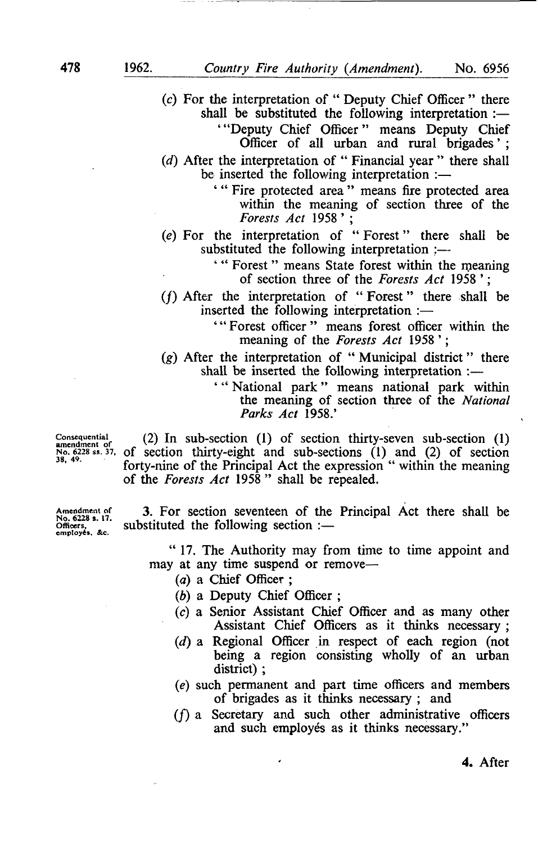*(c)* For the interpretation of " Deputy Chief Officer " there shall be substituted the following interpretation :— ' "Deputy Chief Officer" means Deputy Chief

Officer of all urban and rural brigades';

- *(d)* After the interpretation of " Financial year " there shall be inserted the following interpretation :—
	- ' " Fire protected area " means fire protected area within the meaning of section three of the *Forests Act* 1958 ' ;
- *(e)* For the interpretation of " Forest" there shall be substituted the following interpretation ;—

' " Forest" means State forest within the meaning of section three of the *Forests Act* 1958 ' ;

 $(f)$  After the interpretation of "Forest" there shall be inserted the following interpretation :—

> ' " Forest officer " means forest officer within the meaning of the *Forests Act* 1958 ' ;

(g) After the interpretation of " Municipal district" there shall be inserted the following interpretation :—

> " National park" means national park within the meaning of section three of the *National Parks Act* 1958.'

Consequential (2) In sub-section (1) of section thirty-seven sub-section (1) amendment of (2) In sub-section (1)  $N_{0.6}^{100}$  s». 37, of section thirty-eight and sub-sections (1) and (2) of section forty-nine of the Principal Act the expression " within the meaning of the *Forests Act* 1958 " shall be repealed.

Amendment of<br>No. 6228 s. 17.<br>Officers,<br>employes, &c.

3. For section seventeen of the Principal Act there shall be substituted the following section :—

IT. The Authority may from time to time appoint and  $\lim_{x \to a}$  at any time suspend or remove— $\lim_{x \to a}$ 

- *(a) a* Chief Officer ;
- (c) a Senior Assistant Chief Officer and as many other Assistant Chief Officers as it thinks necessary :
- $(d)$  a Regional Officer in respect of each region (not (*d)* a Regional Officer in respect of each region (not being a region consisting wholly of an urban  $\frac{1}{1}$
- (e) such permanent and part time officers and members  $\epsilon^f$  being decomposite accessor to each of brigades as it thinks necessary ; and
- $(1)$  a Secretary and such other administrative officers and such employés as it thinks necessary."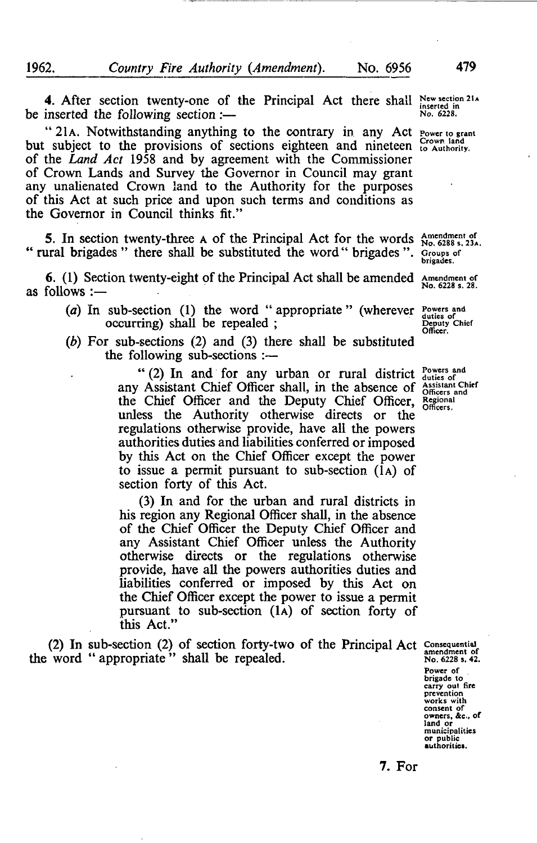4. After section twenty-one of the Principal Act there shall New section 21.4<br>inserted the following section :be inserted the following section :-

" 21A. Notwithstanding anything to the contrary in any Act Power to grant but subject to the provisions of sections eighteen and nineteen Crown land of the *Land Act* 1958 and by agreement with the Commissioner of Crown Lands and Survey the Governor in Council may grant any unalienated Crown land to the Authority for the purposes of this Act at such price and upon such terms and conditions as the Governor in Council thinks fit."

5. In section twenty-three A of the Principal Act for the words Amendment of No. 6288 s. 23A. " rural brigades " there shall be substituted the word" brigades ". Groups of

6. (1) Section twenty-eight of the Principal Act shall be amended Amendment of  $\frac{1}{N_0}$ . 6228 s. 28. as follows :-

- $(a)$  In  $f(x)$ (a) In sub-section (1) the word appropriate (wherever duties of the contract of the metal of the contract of the contract  $\alpha$ 
	- occurring) shall be repealed ;  $\frac{1}{2}$  . Officer. *(b)* For sub-sections (2) and (3) there shall be substituted  $\frac{16}{2}$  sub-sections :

 $(2)$  In and for any urban or rural district  $\frac{2}{\text{dustes of}}$ any Assistant Chief Officer shall, in the absence of Assistant Chief<br>the Chief Officer and the Deputy Chief Officer, Begional the Chief Officer and the Deputy Chief Officer, unless tlie Authority otherwise directs or the regulations otherwise provide, have all the powers authorities duties and liabilities conferred or imposed by this Act on the Chief Officer except the power to issue a permit pursuant to sub-section (1A) of section forty of this Act.

(3) In and for the urban and rural districts in his region any Regional Officer shall, in the absence of the Chief Officer the Deputy Chief Officer and any Assistant Chief Officer unless the Authority otherwise directs or the regulations otherwise provide, have all the powers authorities duties and liabilities conferred or imposed by this Act on the Chief Officer except the power to issue a permit pursuant to sub-section (1A) of section forty of this Act."

(2) In sub-section (2) of section forty-two of the Principal Act consequential the word "appropriate" shall be repealed.  $N_0$ , 6228 s, 42.

**Power of brigade to carry out fire prevention works with consent of owners. &c.. of land or municipalities or public authorities.** 

7. For

**brigades.**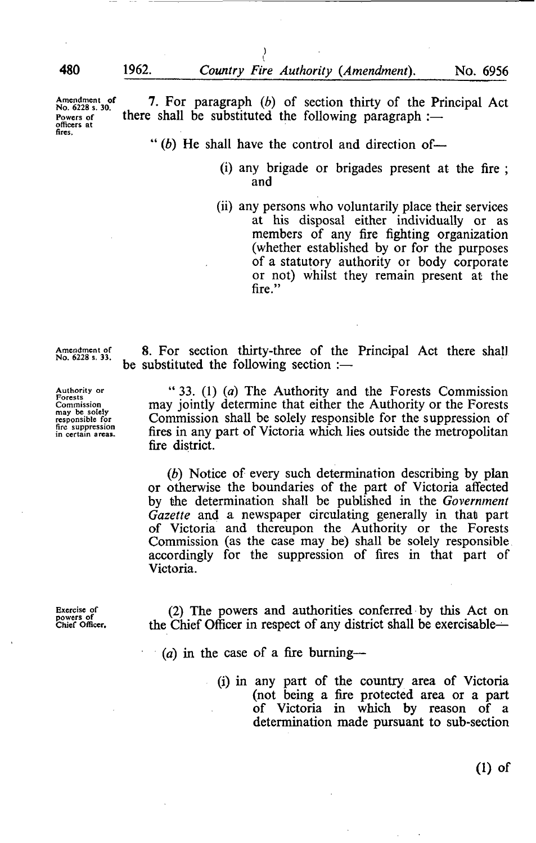**officers at** *a r o r*  **fires.** 

Amendment of 7. For paragraph  $(b)$  of section thirty of the Principal Act No. 6228 s. 30. Powers of there shall be substituted the following paragraph :-

" $(b)$  He shall have the control and direction of-

 $\left\{ \right.$ 

- (i) any brigade or brigades present at the fire ; and
- (ii) any persons who voluntarily place their services at his disposal either individually or as members of any fire fighting organization (whether established by or for the purposes of a statutory authority or body corporate or not) whilst they remain present at the fire."

**Amendment of No. 6228 s. 33.** 

**Authority or Forests Commission may be solely responsible for fire suppression in certain areas.** 

8. For section thirty-three of the Principal Act there shall be substituted the following section :—

" 33. (1) *(a)* The Authority and the Forests Commission may jointly determine that either the Authority or the Forests Commission shall be solely responsible for the suppression of fires in any part of Victoria which lies outside the metropolitan fire district.

*{b)* Notice of every such determination describing by plan or otherwise the boundaries of the part of Victoria affected by the determination shall be published in the Government *Gazette* and a newspaper circulating generally in that part of Victoria and thereupon the Authority or the Forests Commission (as the case may be) shall be solely responsible accordingly for the suppression of fires in that part of Victoria.

**Exercise of powers of Chief Officer.** 

(2) The powers and authorities conferred by this Act on the Chief Officer in respect of any district shall be exercisable^

- *id)* in the case of a fire burning—
	- (i) in any part of the country area of Victoria (not being a fire protected area or a part of Victoria in which by reason of a determination made pursuant to sub-section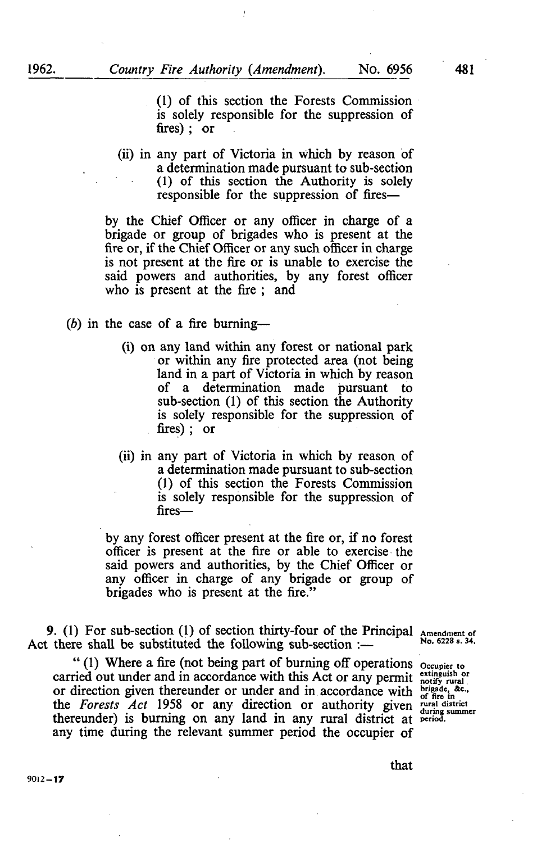(1) of this section the Forests Commission is solely responsible for the suppression of fires) ; or

(ii) in any part of Victoria in which by reason of a determination made pursuant to sub-section (1) of this section the Authority is solely responsible for the suppression of fires—

by the Chief Officer or any officer in charge of a brigade or group of brigades who is present at the fire or, if the Chief Officer or any such officer in charge is not present at the fire or is unable to exercise the said powers and authorities, by any forest officer who is present at the fire ; and

- $(b)$  in the case of a fire burning—
	- (i) on any land within any forest or national park or within any fire protected area (not being land in a part of Victoria in which by reason of a determination made pursuant to sub-section (1) of this section the Authority is solely responsible for the suppression of fires) ; or
	- (ii) in any part of Victoria in which by reason of a determination made pursuant to sub-section (1) of this section the Forests Commission is solely responsible for the suppression of fires—

by any forest officer present at the fire or, if no forest officer is present at the fire or able to exercise the said powers and authorities, by the Chief Officer or any officer in charge of any brigade or group of brigades who is present at the fire."

9. (1) For sub-section (1) of section thirty-four of the Principal  $\Delta_{\text{Nnendment of}}$ Act there shall be substituted the following sub-section :—  $N_0$ . 6228 s. 34.

" (1) Where a fire (not being part of burning off operations occupier to carried out under and in accordance with this Act or any permit *extinguish or* or direction given thereunder or under and in accordance with  $\frac{\text{brigode}}{\text{off}}$  for in the *Forests Act* 1958 or any direction or authority given meal district thereunder) is burning on any land in any rural district at period.  $t_{\text{max}}$  is burning on any land in any rural district at  $t_{\text{max}}$ any time during the relevant summer period the occupier of

that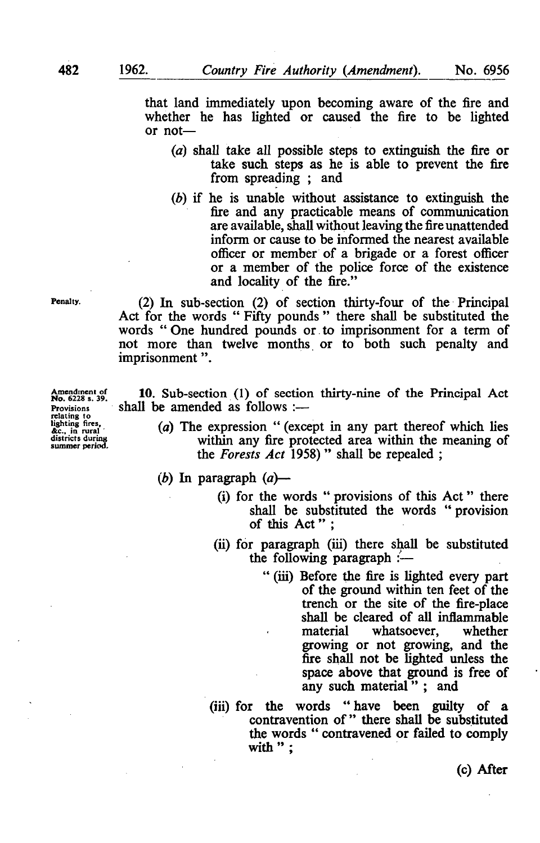that land immediately upon becoming aware of the fire and whether he has lighted or caused the fire to be lighted or not—

- (a) shall take all possible steps to extinguish the fire or take such steps as he is able to prevent the fire from spreading ; and
- *{b)* if he is unable without assistance to extinguish the fire and any practicable means of commimication are available, shall without leaving the fire unattended inform or cause to be informed the nearest available officer or member of a brigade or a forest officer or a member of the police force of the existence and locality of the fire."

Penalty. (2) In sub-section (2) of section thirty-four of the Principal Act for the words " Fifty pounds " there shall be substituted the words " One hundred pounds or to imprisonment for a term of not more than twelve months or to both such penalty and imprisonment".

Amendinent of **10.** Sub-section (1) of section thirty-nine of the Principal Act No. 6228 s. 39. Shall be amended as follows :— Provisions shall be amended as follows :—<br>
relating to<br>
relating fires.<br>
(a) The expression " (exce

- lighting fires.<br> *ac.*, in rural (*a*) The expression " (except in any part thereof which lies<br>
districts during within any fire protected area within the meaning of<br>
summer period. summer period.<br> $\frac{M_{\text{max}}}{M_{\text{max}}}$  the Forests Act 1958)" shall be repealed : the *Forests Act* 1958) " shall be repealed ;
	- *(b)* In paragraph (a)—
		- (i) for the words " provisions of this Act " there shall be substituted the words " provision of this Act":
		- (ii) for paragraph (iii) there shall be substituted the following paragraph  $\leftarrow$ 
			- " (iii) Before the fire is lighted every part of the ground within ten feet of the trench or the site of the fire-place shall be cleared of all inflammable<br>material whatsoever, whether whatsoever, growing or not growing, and the fire shall not be lighted unless the space above that ground is free of any such material"; and
		- (iii) for the words " have been guilty of a contravention of " there shall be substituted the words " contravened or failed to comply with ":

**redation** in **rural**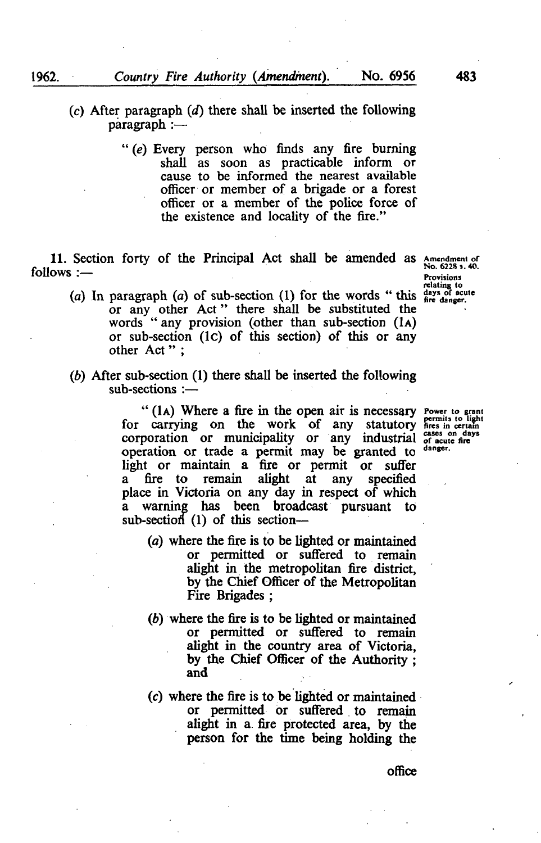- (c) After paragraph *{d)* there shall be inserted the following paragraph :—
	- " (e) Every person who finds any fire burning shall as soon as practicable inform or cause to be informed the nearest available officer or member of a brigade or a forest officer or a member of the police force of the existence and locality of the fire."

11. Section forty of the Principal Act shall be amended as Amendment of **follows :—** ptics of the participate of the provisions of the provisions of the provisions of the provisions of the provisions of the provisions of the provisions of the provisions of the provisions of the provisions of t

- *(a)* In paragraph *(a)* of sub-section (1) for the words " this <sup>fare danger</sup>. or any other Act" there shall be substituted the words " any provision (other than sub-section (1A) or sub-section (Ic) of this section) of this or any other Act":
- *{b)* After sub-section (1) there shall be inserted the following sub-sections :—

" (1A) Where a fire in the open air is necessary Power to grant for carrying on the work of any statutory fires in certain corporation or municipality or any industrial  $_{\text{of acute fire}}^{\text{cases on days}}$ operation or trade a permit may be granted to danger. light or maintain a fire or permit or suffer a fire to remain alight at any specified place in Victoria on any day in respect of which a warning has been broadcast pursuant to sub-section  $(1)$  of this section-

- (a) where the fire is to be lighted or maintained or permitted or suffered to remain alight in the metropolitan fire district, by the Chief Officer of the Metropolitan Fire Brigades ;
- *{b)* where the fire is to be lighted or maintained or permitted or suffered to remain alight in the country area of Victoria, by the Chief Officer of the Authority ; and
- (c) where the fire is to be lighted or maintained or permitted or suffered to remain alight in a fire protected area, by the person for the time being holding the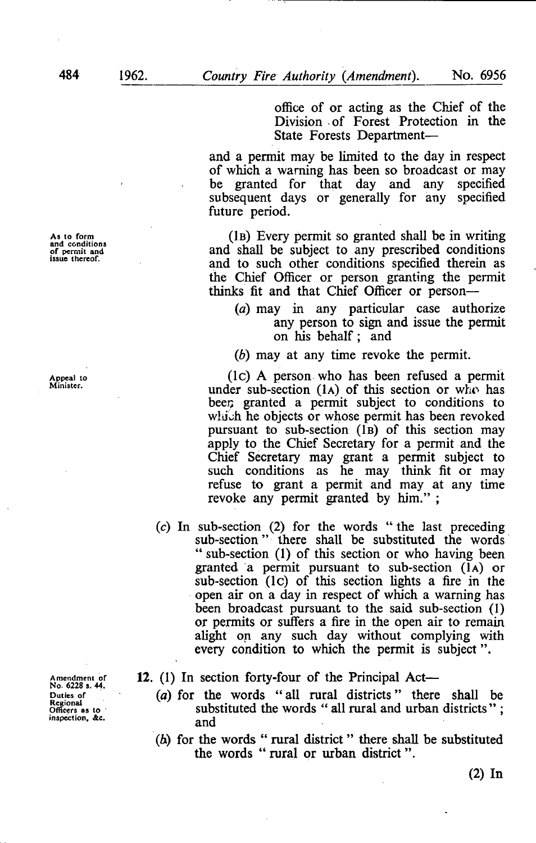**As to form and conditions of permit and issue thereof.** 

**Appeal to Minister.** 

**Amendment of No. 6228 5. 44. Duties of Regional Omcers as to inspection. Ac.** 

office of or acting as the Chief of the Division *of* Forest Protection in the State Forests Department—

and a permit may be limited to the day in respect of which a warning has been so broadcast or may be granted for that day and any specified subsequent days or generally for any specified future period.

(1B) Every permit so granted shall be in writing and shall be subject to any prescribed conditions and to such other conditions specified therein as the Chief Officer or person granting the permit thinks fit and that Chief Officer or person—

- *(a)* may in any particular case authorize any person to sign and issue the permit on his behalf ; and
- *(b)* may at any time revoke the permit.

(Ic) A person who has been refused a permit under sub-section (1A) of this section or who has beer; granted a permit subject to conditions to which he objects or whose permit has been revoked pursuant to sub-section (1B) of this section may apply to the Chief Secretary for a permit and the Chief Secretary may grant a permit subject to such conditions as he may think fit or may refuse to grant a permit and may at any time revoke any permit granted by him." ;

(c) In sub-section (2) for the words " the last preceding sub-section" there shall be substituted the words " sub-section (1) of this section or who having been granted a permit pursuant to sub-section (1A) or  $sub-section (1c) of this section lights a fire in the$ open air on a day in respect of which a warning has been broadcast pursuant to the said sub-section (1) or permits or suifers a fire in the open air to remain alight on any such day without complying with every condition to which the permit is subject".

12. (1) In section forty-four of the Principal Act—

- *(a)* for the words "all rural districts" there shall be substituted the words " all rural and urban districts"; and
- (6) for the words " rural district " there shall be substituted the words " rural or urban district".

(2) In